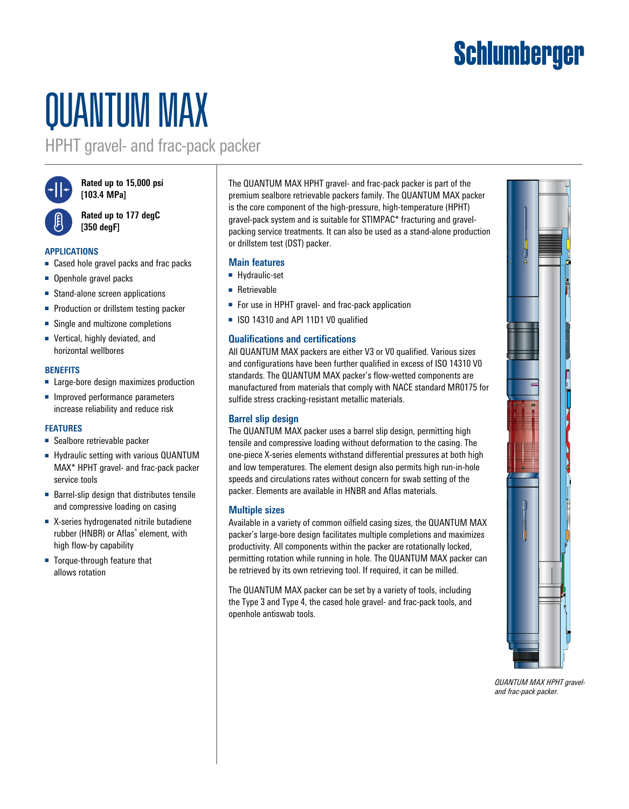# **Schlumberger**

# QUANTUM MAX

HPHT gravel- and frac-pack packer



**Rated up to 15,000 psi [103.4 MPa]**



**Rated up to 177 degC [350 degF]**

## **APPLICATIONS**

- Cased hole gravel packs and frac packs
- Openhole gravel packs
- Stand-alone screen applications
- Production or drillstem testing packer
- Single and multizone completions
- Vertical, highly deviated, and horizontal wellbores

#### **BENEFITS**

- Large-bore design maximizes production
- Improved performance parameters increase reliability and reduce risk

## **FEATURES**

- Sealbore retrievable packer
- Hydraulic setting with various QUANTUM MAX\* HPHT gravel- and frac-pack packer service tools
- Barrel-slip design that distributes tensile and compressive loading on casing
- X-series hydrogenated nitrile butadiene rubber (HNBR) or Aflas® element, with high flow-by capability
- Torque-through feature that allows rotation

The QUANTUM MAX HPHT gravel- and frac-pack packer is part of the premium sealbore retrievable packers family. The QUANTUM MAX packer is the core component of the high-pressure, high-temperature (HPHT) gravel-pack system and is suitable for STIMPAC\* fracturing and gravelpacking service treatments. It can also be used as a stand-alone production or drillstem test (DST) packer.

# **Main features**

- Hydraulic-set
- Retrievable
- For use in HPHT gravel- and frac-pack application
- ISO 14310 and API 11D1 V0 qualified

# **Qualifications and certifications**

All QUANTUM MAX packers are either V3 or V0 qualified. Various sizes and configurations have been further qualified in excess of ISO 14310 V0 standards. The QUANTUM MAX packer's flow-wetted components are manufactured from materials that comply with NACE standard MR0175 for sulfide stress cracking-resistant metallic materials.

## **Barrel slip design**

The QUANTUM MAX packer uses a barrel slip design, permitting high tensile and compressive loading without deformation to the casing. The one-piece X-series elements withstand differential pressures at both high and low temperatures. The element design also permits high run-in-hole speeds and circulations rates without concern for swab setting of the packer. Elements are available in HNBR and Aflas materials.

## **Multiple sizes**

Available in a variety of common oilfield casing sizes, the QUANTUM MAX packer's large-bore design facilitates multiple completions and maximizes productivity. All components within the packer are rotationally locked, permitting rotation while running in hole. The QUANTUM MAX packer can be retrieved by its own retrieving tool. If required, it can be milled.

The QUANTUM MAX packer can be set by a variety of tools, including the Type 3 and Type 4, the cased hole gravel- and frac-pack tools, and openhole antiswab tools.



*QUANTUM MAX HPHT graveland frac-pack packer.*